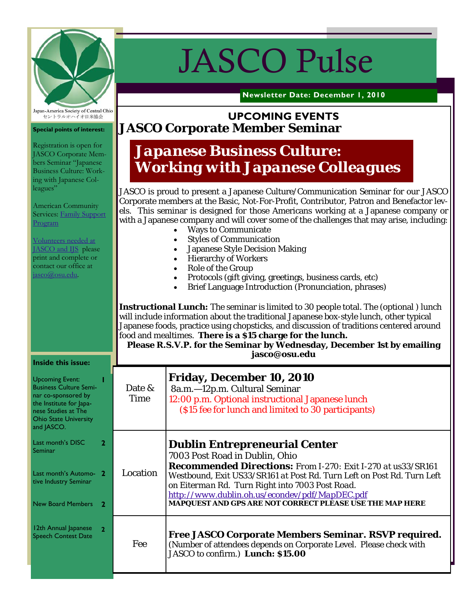

# JASCO Pulse

**Newsletter Date: December 1, 2010** 

# http://jasco.osu.edu **UPCOMING EVENTS JASCO Corporate Member Seminar**

# *Japanese Business Culture: Working with Japanese Colleagues*

JASCO is proud to present a Japanese Culture/Communication Seminar for our JASCO Corporate members at the Basic, Not-For-Profit, Contributor, Patron and Benefactor levels. This seminar is designed for those Americans working at a Japanese company or with a Japanese company and will cover some of the challenges that may arise, including:

- Ways to Communicate
- Styles of Communication
- Japanese Style Decision Making
- Hierarchy of Workers
- Role of the Group
- Protocols (gift giving, greetings, business cards, etc)
- Brief Language Introduction (Pronunciation, phrases)

**Instructional Lunch:** The seminar is limited to 30 people total. The (optional ) lunch will include information about the traditional Japanese box-style lunch, other typical Japanese foods, practice using chopsticks, and discussion of traditions centered around food and mealtimes. **There is a \$15 charge for the lunch.** 

**Please R.S.V.P. for the Seminar by Wednesday, December 1st by emailing jasco@osu.edu** 

| Inside this issue:                                                                                                                                                             |                       |                                                                                                                                                                                                                                                                                                                                                                                          |
|--------------------------------------------------------------------------------------------------------------------------------------------------------------------------------|-----------------------|------------------------------------------------------------------------------------------------------------------------------------------------------------------------------------------------------------------------------------------------------------------------------------------------------------------------------------------------------------------------------------------|
| <b>Upcoming Event:</b><br><b>Business Culture Semi-</b><br>nar co-sponsored by<br>the Institute for Japa-<br>nese Studies at The<br><b>Ohio State University</b><br>and JASCO. | Date &<br><b>Time</b> | <b>Friday, December 10, 2010</b><br>8a.m.-12p.m. Cultural Seminar<br>12:00 p.m. Optional instructional Japanese lunch<br>(\$15 fee for lunch and limited to 30 participants)                                                                                                                                                                                                             |
| Last month's DISC<br>$\mathbf{2}$<br>Seminar<br>Last month's Automo- 2<br>tive Industry Seminar<br>New Board Members<br>$\mathbf{2}$                                           | Location              | <b>Dublin Entrepreneurial Center</b><br>7003 Post Road in Dublin, Ohio<br><b>Recommended Directions:</b> From I-270: Exit I-270 at us33/SR161<br>Westbound, Exit US33/SR161 at Post Rd. Turn Left on Post Rd. Turn Left<br>on Eiterman Rd. Turn Right into 7003 Post Road.<br>http://www.dublin.oh.us/econdev/pdf/MapDEC.pdf<br>MAPQUEST AND GPS ARE NOT CORRECT PLEASE USE THE MAP HERE |
| 12th Annual Japanese<br><b>Speech Contest Date</b>                                                                                                                             | Fee                   | <b>Free JASCO Corporate Members Seminar. RSVP required.</b><br>(Number of attendees depends on Corporate Level. Please check with<br>JASCO to confirm.) Lunch: \$15.00                                                                                                                                                                                                                   |

Japan-America Society of Central Ohio セントラルオハイオ日米協会

#### **Special points of interest:**

Registration is open for JASCO Corporate Members Seminar "Japanese Business Culture: Working with Japanese Colleagues"

American Community Services: Family Support Program

Volunteers needed at JASCO and IJS please print and complete or contact our office at jasco@osu.edu.